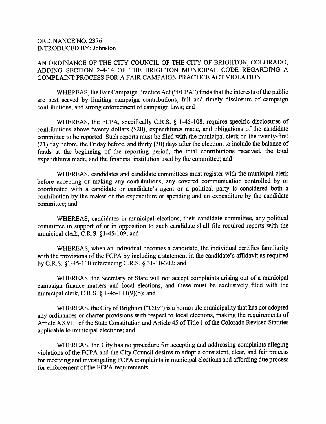## ORDINANCE NO. 2^ INTRODUCED BY: Johnston

## AN ORDINANCE OF THE CITY COUNCIL OF THE CITY OF BRIGHTON, COLORADO, ADDING SECTION 2-4-14 OF THE BRIGHTON MUNICIPAL CODE REGARDING A COMPLAINT PROCESS FOR A FAIR CAMPAIGN PRACTICE ACT VIOLATION

WHEREAS, the Fair Campaign Practice Act ("FCPA") finds that the interests of the public are best served by limiting campaign contributions, full and timely disclosure of campaign contributions, and strong enforcement of campaign laws; and

WHEREAS, the FCPA, specifically C.R.S. § 1-45-108, requires specific disclosures of contributions above twenty dollars (\$20), expenditures made, and obligations of the candidate committee to be reported. Such reports must be filed with the municipal clerk on the twenty-first (21) day before, the Friday before, and thirty (30) days after the election, to include the balance of funds at the beginning of the reporting period, the total contributions received, the total expenditures made, and the financial institution used by the committee; and

WHEREAS, candidates and candidate committees must register with the municipal clerk before accepting or making any contributions; any covered communication controlled by or coordinated with a candidate or candidate's agent or a political party is considered both a contribution by the maker of the expenditure or spending and an expenditure by the candidate committee; and

WHEREAS, candidates in municipal elections, their candidate committee, any political committee in support of or in opposition to such candidate shall file required reports with the municipal clerk, C.R.S. §1-45-109; and

WHEREAS, when an individual becomes a candidate, the individual certifies familiarity with the provisions of the FCPA by including a statement in the candidate's affidavit as required by C.R.S. §1-45-110 referencing C.R.S. § 31-10-302; and

WHEREAS, the Secretary of State will not accept complaints arising out of a municipal campaign finance matters and local elections, and these must be exclusively filed with the municipal clerk, C.R.S.  $\S$  1-45-111(9)(b); and

WHEREAS, the City of Brighton ("City") is a home rule municipality that has not adopted any ordinances or charter provisions with respect to local elections, making the requirements of Article XXVIII of the State Constitution and Article 45 of Title 1 of the Colorado Revised Statutes applicable to municipal elections; and

WHEREAS, the City has no procedure for accepting and addressing complaints alleging violations of the FCPA and the City Council desires to adopt a consistent, clear, and fair process for receiving and investigating FCPA complaints in municipal elections and affording due process for enforcement of the FCPA requirements.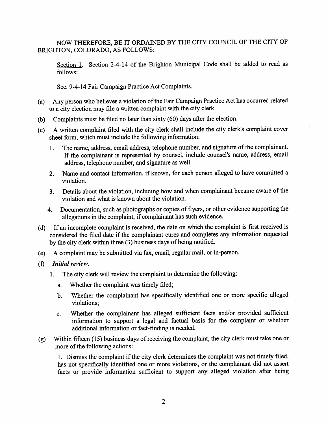NOW THEREFORE, BE IT ORDAINED BY THE CITY COUNCIL OF THE CITY OF BRIGHTON, COLORADO, AS FOLLOWS:

Section I. Section 2-4-14 of the Brighton Municipal Code shall be added to read as follows:

Sec. 9-4-14 Fair Campaign Practice Act Complaints,

- (a) Any person who believes a violation of the Fair Campaign Practice Act has occurred related to a city election may file a written complaint with the city clerk.
- (b) Complaints must be filed no later than sixty  $(60)$  days after the election.
- (c) A written complaint filed with the city clerk shall include the city clerk's complaint cover sheet form, which must include the following information:
	- 1. The name, address, email address, telephone number, and signature of the complainant. If the complainant is represented by counsel, include counsel's name, address, email address, telephone number, and signature as well.
	- 2. Name and contact information, if known, for each person alleged to have committed a violation.
	- 3. Details about the violation, including how and when complainant became aware of the violation and what is known about the violation.
	- 4. Documentation, such as photographs or copies of flyers, or other evidence supporting the allegations in the complaint, if complainant has such evidence,
- (d) If an incomplete complaint is received, the date on which the complaint is first received is considered the filed date if the complainant cures and completes any information requested by the city clerk within three (3) business days of being notified,
- (e) A complaint may be submitted via fax, email, regular mail, or in-person,
- (f) Initial review:
	- 1. The city clerk will review the complaint to determine the following:
		- a. Whether the complaint was timely filed;
		- b. Whether the complainant has specifically identified one or more specific alleged violations;
		- c. Whether the complainant has alleged sufficient facts and/or provided sufficient information to support a legal and factual basis for the complaint or whether additional information or fact-finding is needed.
- (g) Within fifteen (15) business days of receiving the complaint, the city clerk must take one or more of the following actions:

1. Dismiss the complaint if the city clerk detennines the complaint was not timely filed, has not specifically identified one or more violations, or the complainant did not assert facts or provide information sufficient to support any alleged violation after being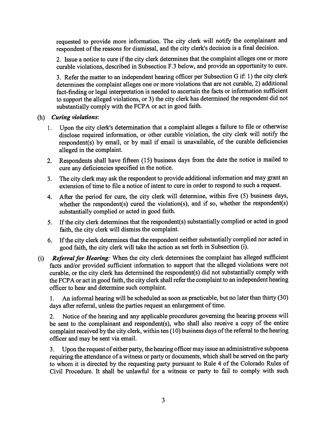requested to provide more information. The city clerk will notify the complainant and respondent of the reasons for dismissal, and the city clerk's decision is a final decision.

2. Issue a notice to cure if the city clerk determines that the complaint alleges one or more curable violations, described in Subsection F.3 below, and provide an opportunity to cure.

3. Refer the matter to an independent hearing officer per Subsection G if: 1) the city clerk detennines the complaint alleges one or more violations that are not curable, 2) additional fact-finding or legal interpretation is needed to ascertain the facts or information sufficient to support the alleged violations, or 3) the city clerk has determined the respondent did not substantially comply with the FCPA or act in good faith.

## (h) Curing violations:

- 1. Upon the city clerk's detemiination that a complaint alleges a failure to file or otherwise disclose required infomiation, or other curable violation, the city clerk will notify the respondent(s) by email, or by mail if email is unavailable, of the curable deficiencies alleged in the complaint.
- 2. Respondents shall have fifteen (15) business days from the date the notice is mailed to cure any deficiencies specified in the notice.
- 3. The city clerk may ask the respondent to provide additional information and may grant an extension of time to file a notice of intent to cure in order to respond to such a request.
- 4. After the period for cure, the city clerk will determine, within five (5) business days, whether the respondent(s) cured the violation(s), and if so, whether the respondent(s) substantially complied or aeted in good faith.
- 5. If the city clerk detennines that the respondent(s) substantially complied or acted in good faith, the city clerk will dismiss the complaint.
- 6. If the city clerk detennines that the respondent neither substantially complied nor acted in good faith, the city clerk will take the aetion as set forth in Subsection (i).
- (i) Referral for Hearing: When the city clerk determines the complaint has alleged sufficient facts and/or provided sufficient information to support that the alleged violations were not curable, or the city clerk has detennined the respondent(s) did not substantially comply with the FCPA or act in good faith, the city clerk shall refer the complaint to an independent hearing officer to hear and detennine such complaint.

1. An informal hearing will be scheduled as soon as practicable, but no later than thirty (30) days after referral, unless the parties request an enlargement of time.

2. Notice of the hearing and any applicable procedures governing the hearing process will be sent to the complainant and respondent(s), who shall also receive a copy of the entire complaint received by the city clerk, within ten (10) business days of the referral to the hearing officer and may be sent via email.

3. Upon the request of either party, the hearing officer may issue an administrative subpoena requiring the attendance of a witness or party or documents, which shall be served on the party to whom it is directed by the requesting party pursuant to Rule 4 of the Colorado Rules of Civil Procedure. It shall be unlawful for a witness or party to fail to comply with such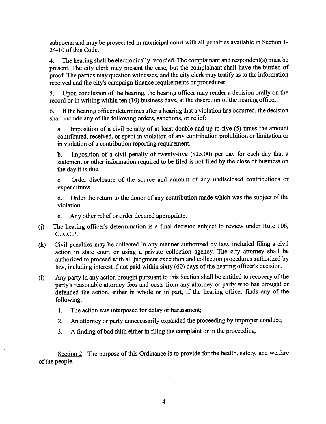subpoena and may be prosecuted in municipal court with all penalties available in Section 1- 24-10 of this Code.

4. The hearing shall be electronically recorded. The complainant and respondent(s) must be present. The city clerk may present the case, but the complainant shall have the burden of proof. The parties may question witnesses, and the city clerk may testify as to the infonnation received and the city's campaign finance requirements or procedures.

5. Upon conclusion of the hearing, the hearing officer may render a decision orally on the record or in writing within ten (10) business days, at the discretion of the hearing officer.

6. If the hearing officer determines after a hearing that a violation has occurred, the decision shall include any of the following orders, sanetions, or relief:

a. Imposition of a civil penalty of at least double and up to five (5) times the amount contributed, received, or spent in violation of any contribution prohibition or limitation or in violation of a contribution reporting requirement,

b. Imposition of a civil penalty of twenty-five (\$25.00) per day for each day that a statement or other information required to be filed is not filed by the close of business on the day it is due.

c. Order disclosure of the source and amount of any undisclosed contributions or expenditures,

d. Order the return to the donor of any contribution made which was the subject of the violation,

e. Any other relief or order deemed appropriate.

- The hearing officer's determination is a final decision subject to review under Rule 106, C.R.C.P.  $(i)$
- Civil penalties may be collected in any manner authorized by law, included filing a civil action in state court or using a private collection agency. The city attorney shall be authorized to proceed with all judgment execution and collection procedures authorized by law, including interest if not paid within sixty (60) days of the hearing officer's decision. (k)
- Any party in any action brought pursuant to this Section shall be entitled to recovery of the party's reasonable attorney fees and costs from any attorney or party who has brought or defended the action, either in whole or in part, if the hearing officer finds any of the following: (1)
	- 1. The action was interposed for delay or harassment;
	- 2. An attorney or party unnecessarily expanded the proceeding by improper conduct;
	- 3. A finding of bad faith either in filing the complaint or in the proceeding.

Section 2. The purpose of this Ordinance is to provide for the health, safety, and welfare of the people.